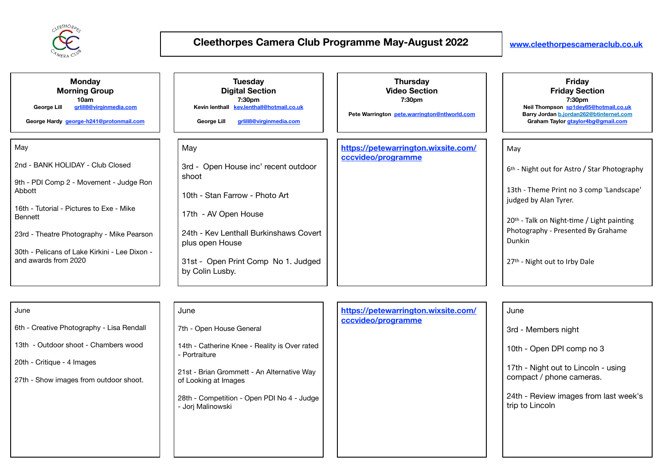

| <b>Monday</b><br><b>Morning Group</b><br>10am<br>grlill8@virginmedia.com<br>George Lill<br>George Hardy george-h241@protonmail.com | <b>Tuesday</b><br><b>Digital Section</b><br>7:30pm<br>Kevin lenthall kev.lenthall@hotmail.co.uk<br>grlill8@virginmedia.com<br>George Lill | <b>Thursday</b><br><b>Video Section</b><br>7:30pm<br>Pete Warrington pete.warrington@ntlworld.com | <b>Friday</b><br><b>Friday Section</b><br>7:30pm<br>Neil Thompson sp1dey85@hotmail.co.uk<br>Barry Jordan b.jordan262@btinternet.com<br>Graham Taylor gtaylor4bg@gmail.com |
|------------------------------------------------------------------------------------------------------------------------------------|-------------------------------------------------------------------------------------------------------------------------------------------|---------------------------------------------------------------------------------------------------|---------------------------------------------------------------------------------------------------------------------------------------------------------------------------|
| May                                                                                                                                | May                                                                                                                                       | https://petewarrington.wixsite.com/<br>cccvideo/programme                                         | May                                                                                                                                                                       |
| 2nd - BANK HOLIDAY - Club Closed                                                                                                   | 3rd - Open House inc' recent outdoor<br>shoot                                                                                             |                                                                                                   | 6 <sup>th</sup> - Night out for Astro / Star Photography                                                                                                                  |
| 9th - PDI Comp 2 - Movement - Judge Ron<br>Abbott                                                                                  | 10th - Stan Farrow - Photo Art                                                                                                            |                                                                                                   | 13th - Theme Print no 3 comp 'Landscape'<br>judged by Alan Tyrer.                                                                                                         |
| 16th - Tutorial - Pictures to Exe - Mike<br>Bennett                                                                                | 17th - AV Open House<br>24th - Kev Lenthall Burkinshaws Covert                                                                            |                                                                                                   | 20 <sup>th</sup> - Talk on Night-time / Light painting<br>Photography - Presented By Grahame                                                                              |
| 23rd - Theatre Photography - Mike Pearson                                                                                          | plus open House                                                                                                                           |                                                                                                   | Dunkin                                                                                                                                                                    |
| 30th - Pelicans of Lake Kirkini - Lee Dixon -<br>and awards from 2020                                                              | 31st - Open Print Comp No 1. Judged<br>by Colin Lusby.                                                                                    |                                                                                                   | 27th - Night out to Irby Dale                                                                                                                                             |

| June                                      | June                                                               |  | https://petewarrington.wixsite.com/<br>cccvideo/programme | June                                                            |
|-------------------------------------------|--------------------------------------------------------------------|--|-----------------------------------------------------------|-----------------------------------------------------------------|
| 6th - Creative Photography - Lisa Rendall | 7th - Open House General                                           |  |                                                           | 3rd - Members night                                             |
| 13th - Outdoor shoot - Chambers wood      | 14th - Catherine Knee - Reality is Over rated<br>- Portraiture     |  |                                                           | 10th - Open DPI comp no 3                                       |
| 20th - Critique - 4 Images                |                                                                    |  |                                                           | 17th - Night out to Lincoln - using<br>compact / phone cameras. |
| 27th - Show images from outdoor shoot.    | 21st - Brian Grommett - An Alternative Way<br>of Looking at Images |  |                                                           |                                                                 |
|                                           | 28th - Competition - Open PDI No 4 - Judge<br>- Jorj Malinowski    |  |                                                           | 24th - Review images from last week's<br>trip to Lincoln        |
|                                           |                                                                    |  |                                                           |                                                                 |
|                                           |                                                                    |  |                                                           |                                                                 |
|                                           |                                                                    |  |                                                           |                                                                 |